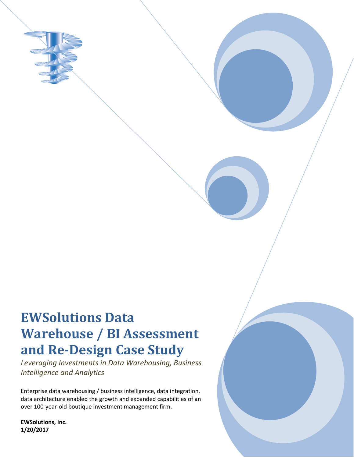

# **EWSolutions Data Warehouse / BI Assessment and Re-Design Case Study**

*Leveraging Investments in Data Warehousing, Business Intelligence and Analytics*

Enterprise data warehousing / business intelligence, data integration, data architecture enabled the growth and expanded capabilities of an over 100-year-old boutique investment management firm.

**EWSolutions, Inc. 1/20/2017**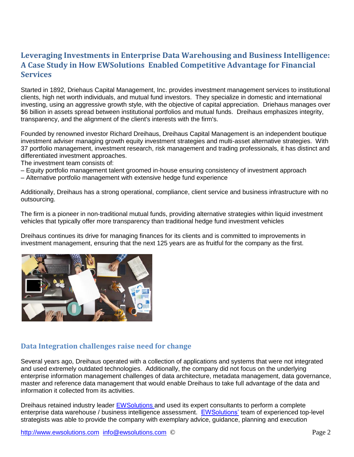# **Leveraging Investments in Enterprise Data Warehousing and Business Intelligence: A Case Study in How EWSolutions Enabled Competitive Advantage for Financial Services**

Started in 1892, Driehaus Capital Management, Inc. provides investment management services to institutional clients, high net worth individuals, and mutual fund investors. They specialize in domestic and international investing, using an aggressive growth style, with the objective of capital appreciation. Driehaus manages over \$6 billion in assets spread between institutional portfolios and mutual funds. Dreihaus emphasizes integrity, transparency, and the alignment of the client's interests with the firm's.

Founded by renowned investor Richard Dreihaus, Dreihaus Capital Management is an independent boutique investment adviser managing growth equity investment strategies and multi-asset alternative strategies. With 37 portfolio management, investment research, risk management and trading professionals, it has distinct and differentiated investment approaches.

The investment team consists of:

- Equity portfolio management talent groomed in-house ensuring consistency of investment approach
- Alternative portfolio management with extensive hedge fund experience

Additionally, Dreihaus has a strong operational, compliance, client service and business infrastructure with no outsourcing.

The firm is a pioneer in non-traditional mutual funds, providing alternative strategies within liquid investment vehicles that typically offer more transparency than traditional hedge fund investment vehicles

Dreihaus continues its drive for managing finances for its clients and is committed to improvements in investment management, ensuring that the next 125 years are as fruitful for the company as the first.



### **Data Integration challenges raise need for change**

Several years ago, Dreihaus operated with a collection of applications and systems that were not integrated and used extremely outdated technologies. Additionally, the company did not focus on the underlying enterprise information management challenges of data architecture, metadata management, data governance, master and reference data management that would enable Dreihaus to take full advantage of the data and information it collected from its activities.

Dreihaus retained industry leader [EWSolutions a](http://www.ewsolutions.com/)nd used its expert consultants to perform a complete enterprise data warehouse / business intelligence assessment. [EWSolutions'](http://www.ewsolutions.com/) team of experienced top-level strategists was able to provide the company with exemplary advice, guidance, planning and execution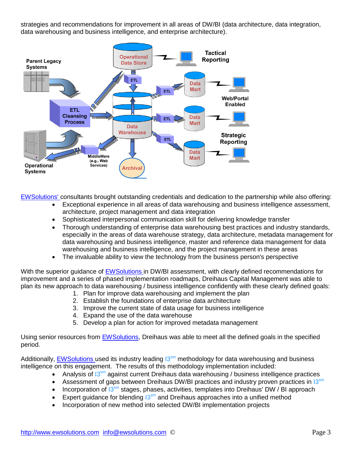strategies and recommendations for improvement in all areas of DW/BI (data architecture, data integration, data warehousing and business intelligence, and enterprise architecture).



[EWSolutions' c](http://www.ewsolutions.com/)onsultants brought outstanding credentials and dedication to the partnership while also offering:

- Exceptional experience in all areas of data warehousing and business intelligence assessment, architecture, project management and data integration
- Sophisticated interpersonal communication skill for delivering knowledge transfer
- Thorough understanding of enterprise data warehousing best practices and industry standards, especially in the areas of data warehouse strategy, data architecture, metadata management for data warehousing and business intelligence, master and reference data management for data warehousing and business intelligence, and the project management in these areas
- The invaluable ability to view the technology from the business person's perspective

With the superior guidance of [EWSolutions i](http://www.ewsolutions.com/)n DW/BI assessment, with clearly defined recommendations for improvement and a series of phased implementation roadmaps, Dreihaus Capital Management was able to plan its new approach to data warehousing / business intelligence confidently with these clearly defined goals:

- 1. Plan for improve data warehousing and implement the plan
- 2. Establish the foundations of enterprise data architecture
- 3. Improve the current state of data usage for business intelligence
- 4. Expand the use of the data warehouse
- 5. Develop a plan for action for improved metadata management

Using senior resources from [EWSolutions,](http://www.ewsolutions.com/) Dreihaus was able to meet all the defined goals in the specified period.

Additionally, [EWSolutions u](http://www.ewsolutions.com/)sed its industry leading  $13<sup>sm</sup>$  methodology for data warehousing and business intelligence on this engagement. The results of this methodology implementation included:

- Analysis of  $13<sup>sm</sup>$  against current Dreihaus data warehousing / business intelligence practices
- Assessment of gaps between Dreihaus DW/BI practices and industry proven practices in  $13<sup>sm</sup>$
- Incorporation of  $13<sup>sm</sup>$  stages, phases, activities, templates into Dreihaus' DW / BI approach
- Expert guidance for blending  $13<sup>sm</sup>$  and Dreihaus approaches into a unified method
- Incorporation of new method into selected DW/BI implementation projects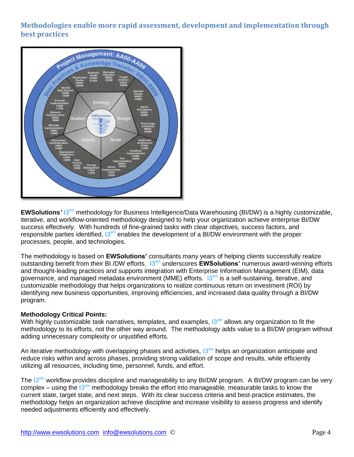## **Methodologies enable more rapid assessment, development and implementation through best practices**



**EWSolutions<sup>'</sup> 13<sup>sm</sup>** methodology for Business Intelligence/Data Warehousing (BI/DW) is a highly customizable, iterative, and workflow-oriented methodology designed to help your organization achieve enterprise BI/DW success effectively. With hundreds of fine-grained tasks with clear objectives, success factors, and responsible parties identified,  $13<sup>sm</sup>$  enables the development of a BI/DW environment with the proper processes, people, and technologies.

The methodology is based on **EWSolutions'** consultants many years of helping clients successfully realize outstanding benefit from their BI /DW efforts. I3sm underscores **EWSolutions'** numerous award-winning efforts and thought-leading practices and supports integration with Enterprise Information Management (EIM), data governance, and managed metadata environment (MME) efforts. 13<sup>sm</sup> is a self-sustaining, iterative, and customizable methodology that helps organizations to realize continuous return on investment (ROI) by identifying new business opportunities, improving efficiencies, and increased data quality through a BI/DW program.

#### **Methodology Critical Points:**

With highly customizable task narratives, templates, and examples,  $13<sup>sm</sup>$  allows any organization to fit the methodology to its efforts, not the other way around. The methodology adds value to a BI/DW program without adding unnecessary complexity or unjustified efforts.

An iterative methodology with overlapping phases and activities,  $13<sup>sm</sup>$  helps an organization anticipate and reduce risks within and across phases, providing strong validation of scope and results, while efficiently utilizing all resources, including time, personnel, funds, and effort.

The 13<sup>sm</sup> workflow provides discipline and manageability to any BI/DW program. A BI/DW program can be very complex – using the  $13<sup>sm</sup>$  methodology breaks the effort into manageable, measurable tasks to know the current state, target state, and next steps. With its clear success criteria and best-practice estimates, the methodology helps an organization achieve discipline and increase visibility to assess progress and identify needed adjustments efficiently and effectively.